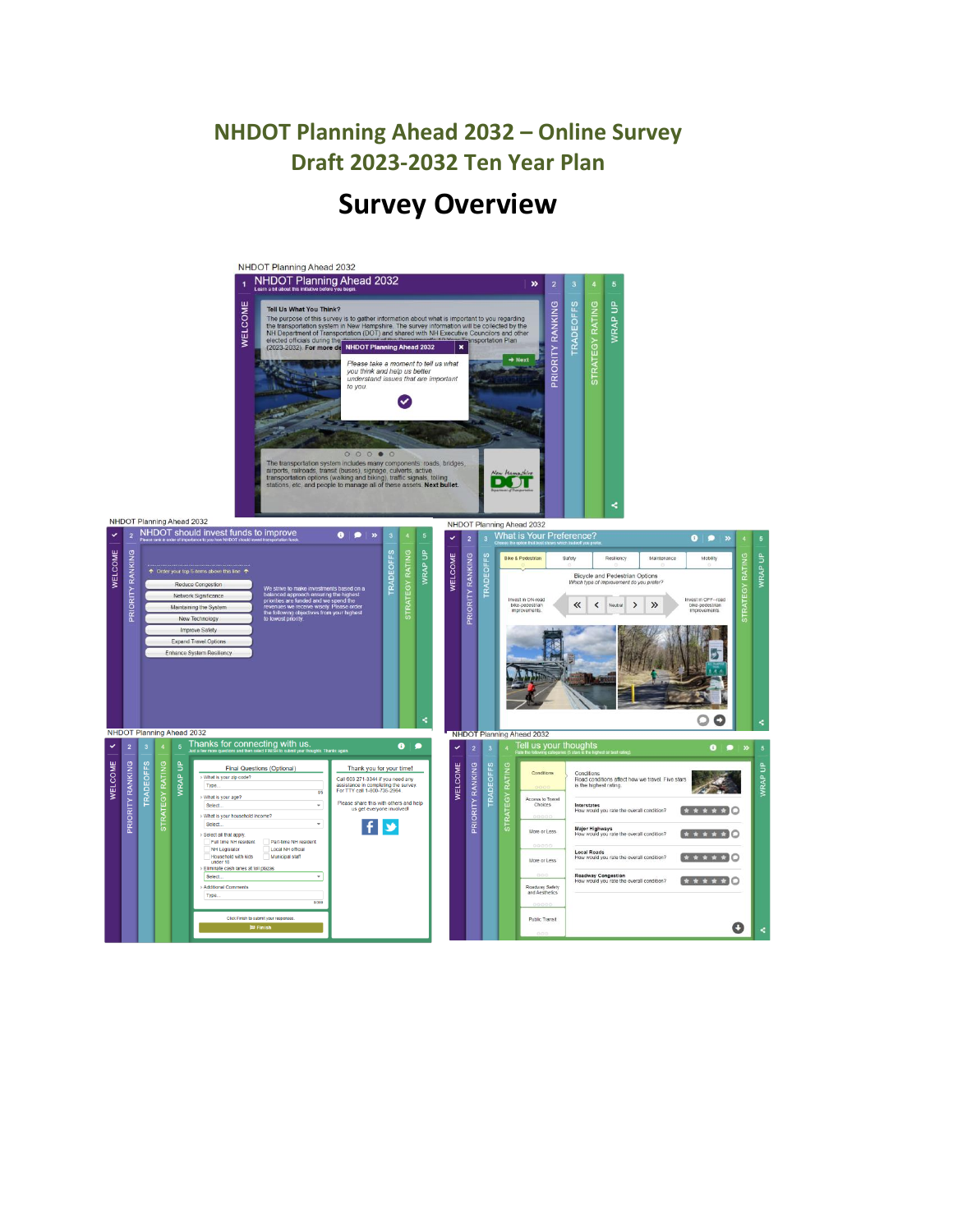# **Survey Overview**

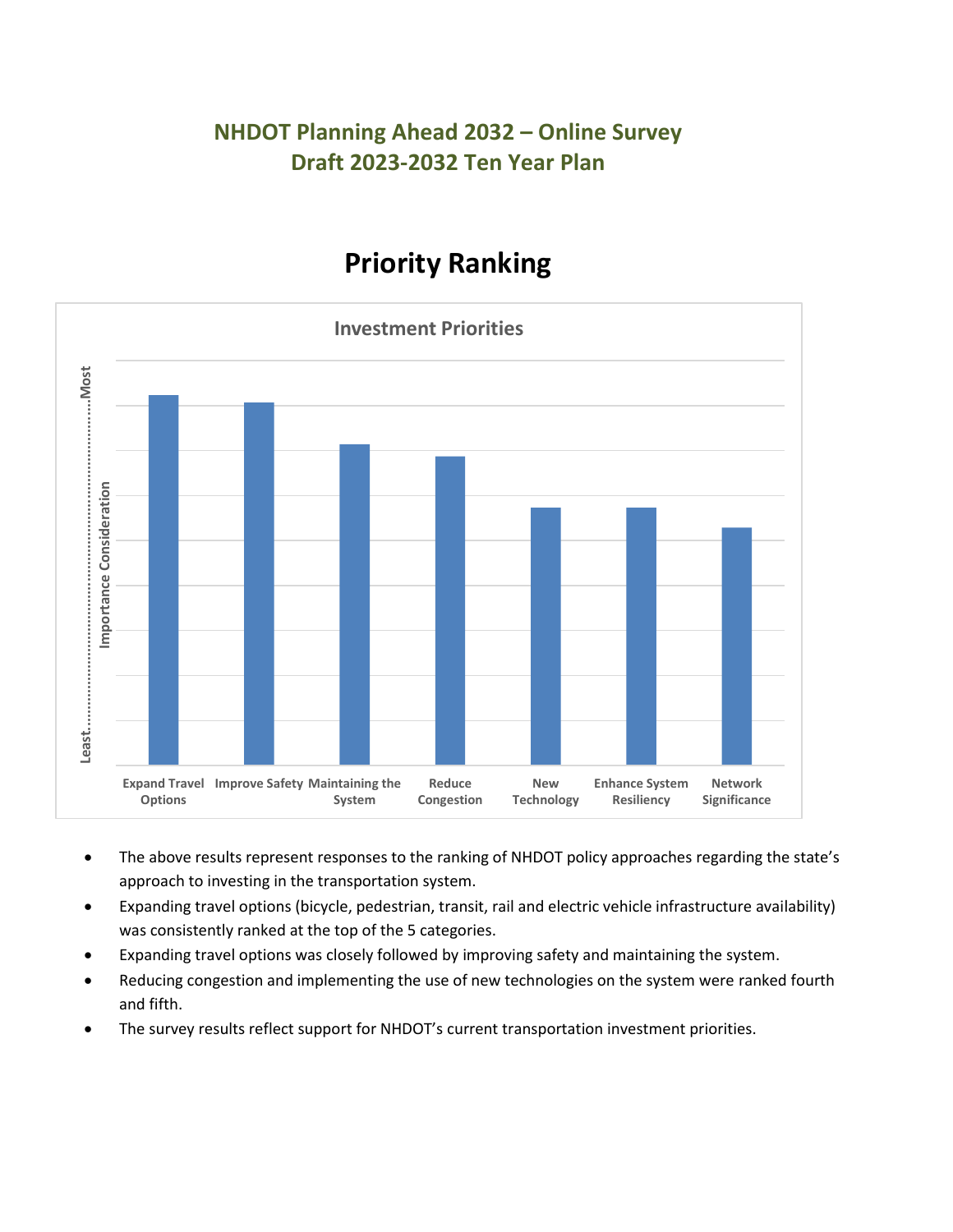# **Priority Ranking**



- The above results represent responses to the ranking of NHDOT policy approaches regarding the state's approach to investing in the transportation system.
- Expanding travel options (bicycle, pedestrian, transit, rail and electric vehicle infrastructure availability) was consistently ranked at the top of the 5 categories.
- Expanding travel options was closely followed by improving safety and maintaining the system.
- Reducing congestion and implementing the use of new technologies on the system were ranked fourth and fifth.
- The survey results reflect support for NHDOT's current transportation investment priorities.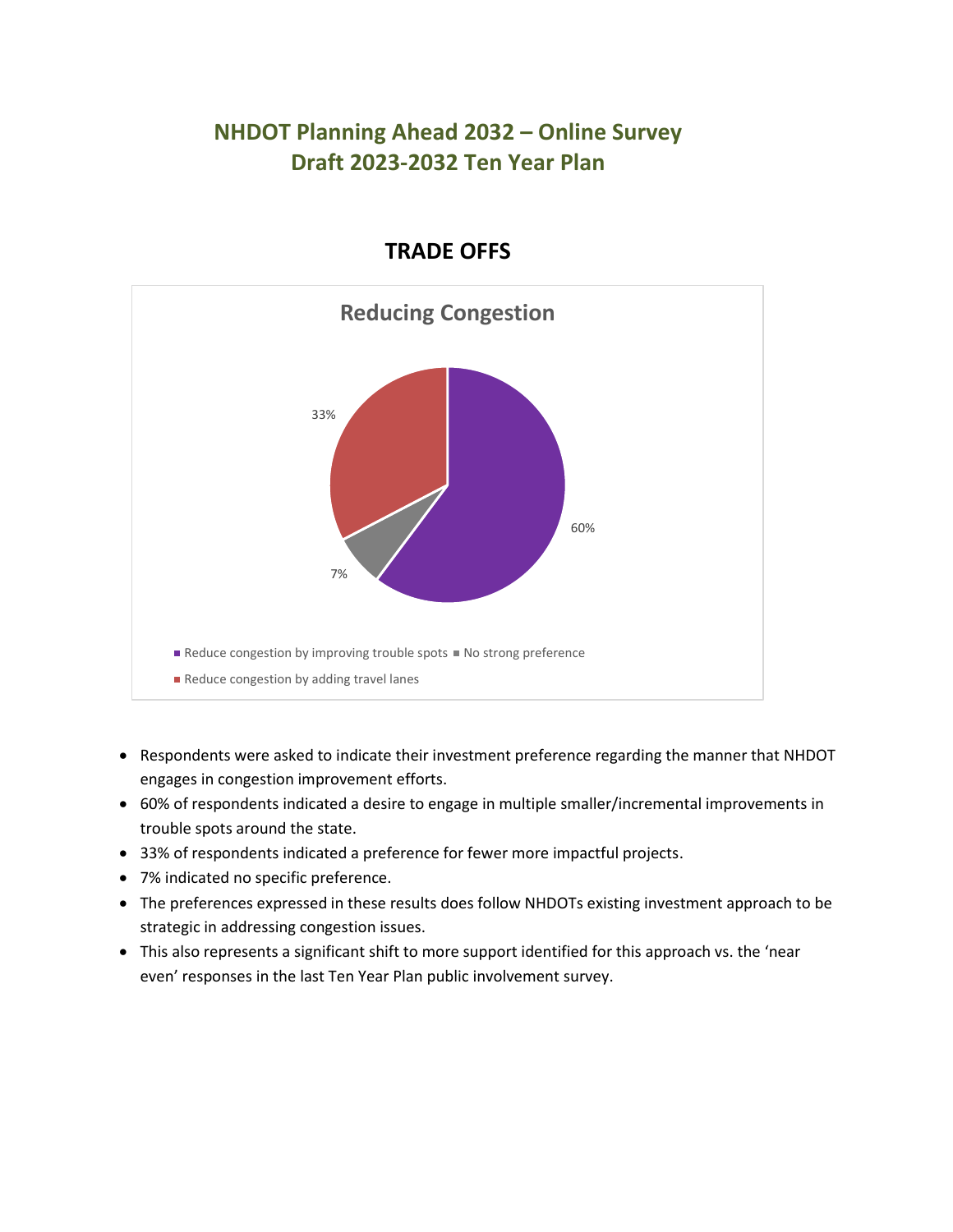

#### **TRADE OFFS**

- Respondents were asked to indicate their investment preference regarding the manner that NHDOT engages in congestion improvement efforts.
- 60% of respondents indicated a desire to engage in multiple smaller/incremental improvements in trouble spots around the state.
- 33% of respondents indicated a preference for fewer more impactful projects.
- 7% indicated no specific preference.
- The preferences expressed in these results does follow NHDOTs existing investment approach to be strategic in addressing congestion issues.
- This also represents a significant shift to more support identified for this approach vs. the 'near even' responses in the last Ten Year Plan public involvement survey.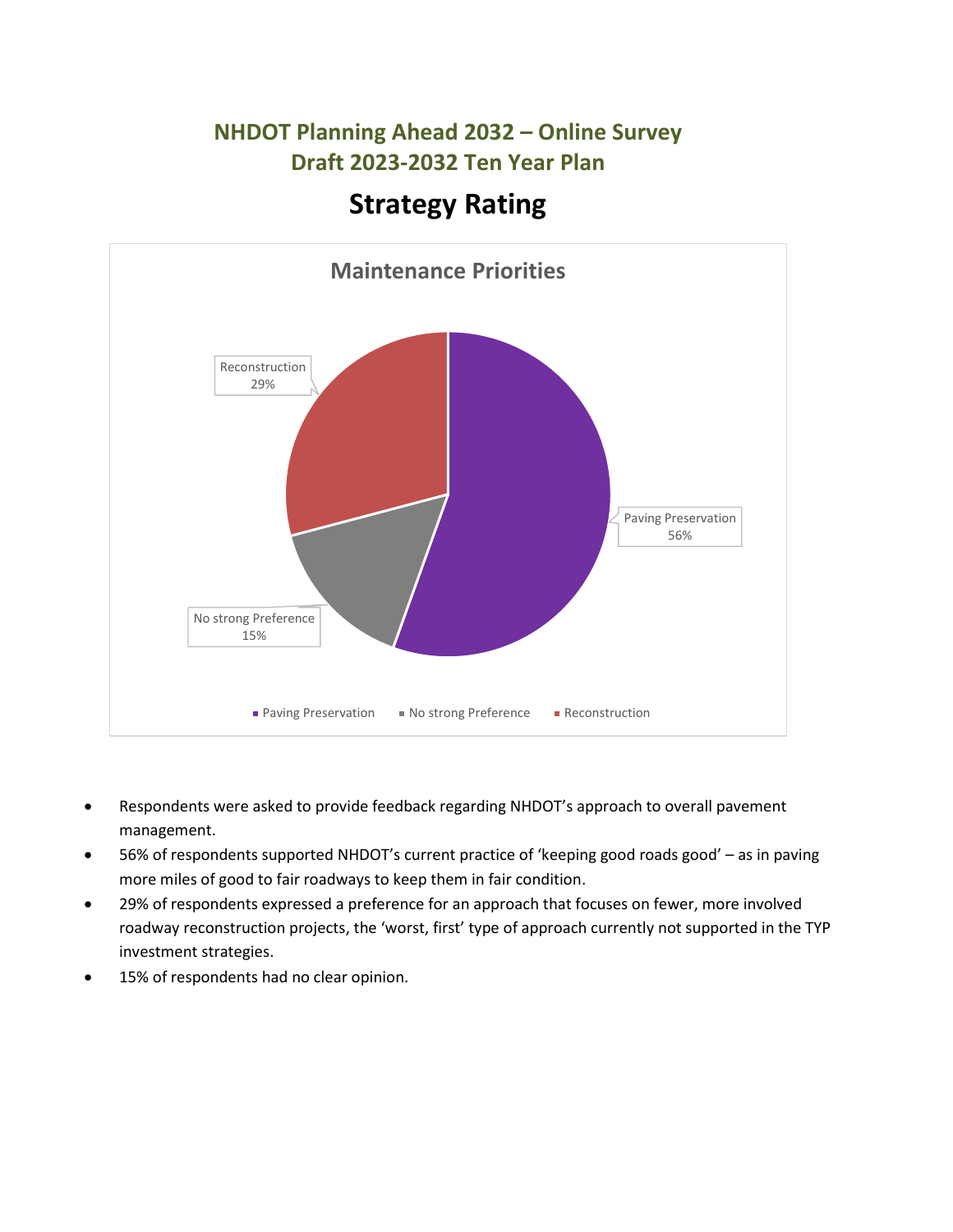

- Respondents were asked to provide feedback regarding NHDOT's approach to overall pavement management.
- 56% of respondents supported NHDOT's current practice of 'keeping good roads good' as in paving more miles of good to fair roadways to keep them in fair condition.
- 29% of respondents expressed a preference for an approach that focuses on fewer, more involved roadway reconstruction projects, the 'worst, first' type of approach currently not supported in the TYP investment strategies.
- 15% of respondents had no clear opinion.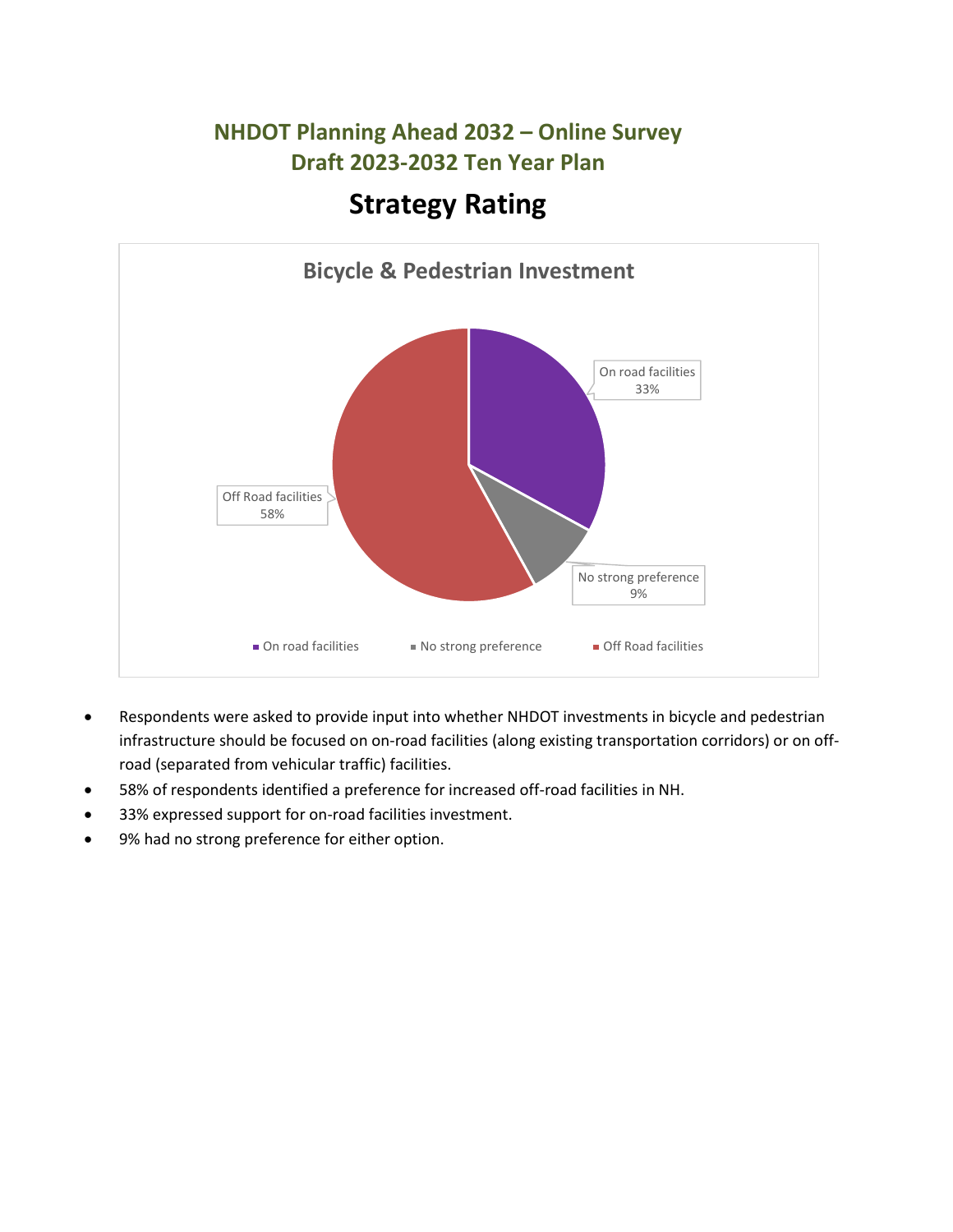

- Respondents were asked to provide input into whether NHDOT investments in bicycle and pedestrian infrastructure should be focused on on-road facilities (along existing transportation corridors) or on offroad (separated from vehicular traffic) facilities.
- 58% of respondents identified a preference for increased off-road facilities in NH.
- 33% expressed support for on-road facilities investment.
- 9% had no strong preference for either option.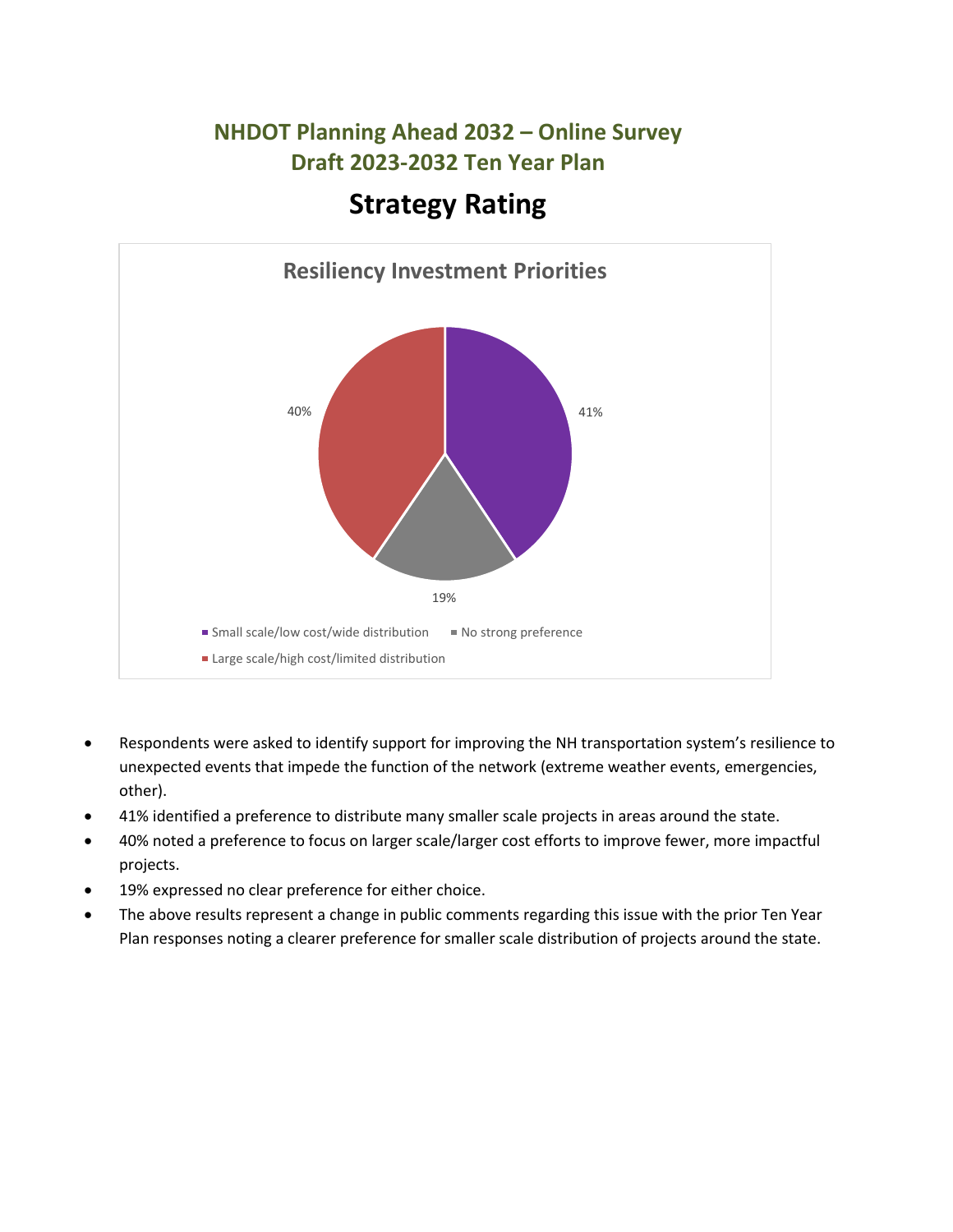

- Respondents were asked to identify support for improving the NH transportation system's resilience to unexpected events that impede the function of the network (extreme weather events, emergencies, other).
- 41% identified a preference to distribute many smaller scale projects in areas around the state.
- 40% noted a preference to focus on larger scale/larger cost efforts to improve fewer, more impactful projects.
- 19% expressed no clear preference for either choice.
- The above results represent a change in public comments regarding this issue with the prior Ten Year Plan responses noting a clearer preference for smaller scale distribution of projects around the state.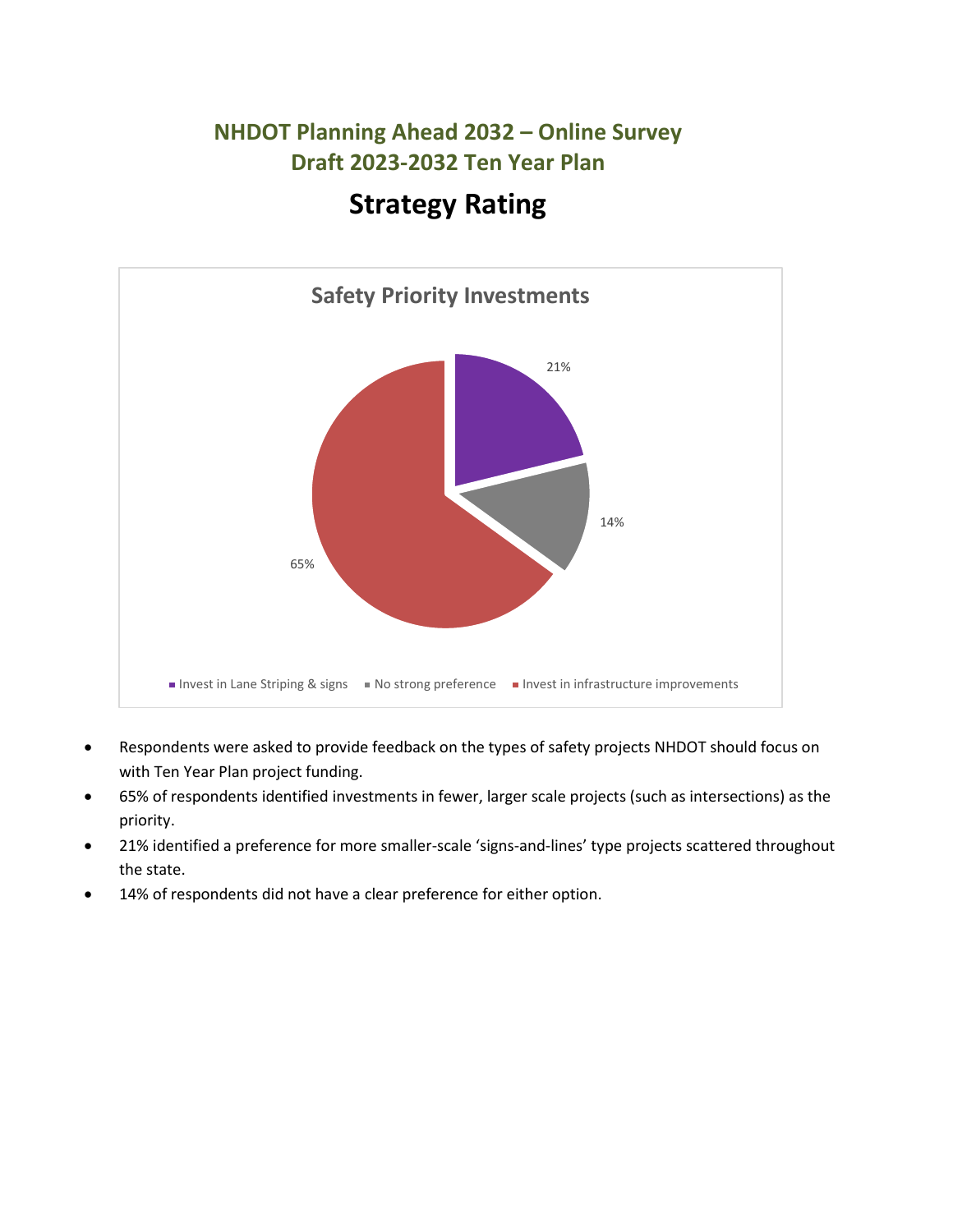

- Respondents were asked to provide feedback on the types of safety projects NHDOT should focus on with Ten Year Plan project funding.
- 65% of respondents identified investments in fewer, larger scale projects (such as intersections) as the priority.
- 21% identified a preference for more smaller-scale 'signs-and-lines' type projects scattered throughout the state.
- 14% of respondents did not have a clear preference for either option.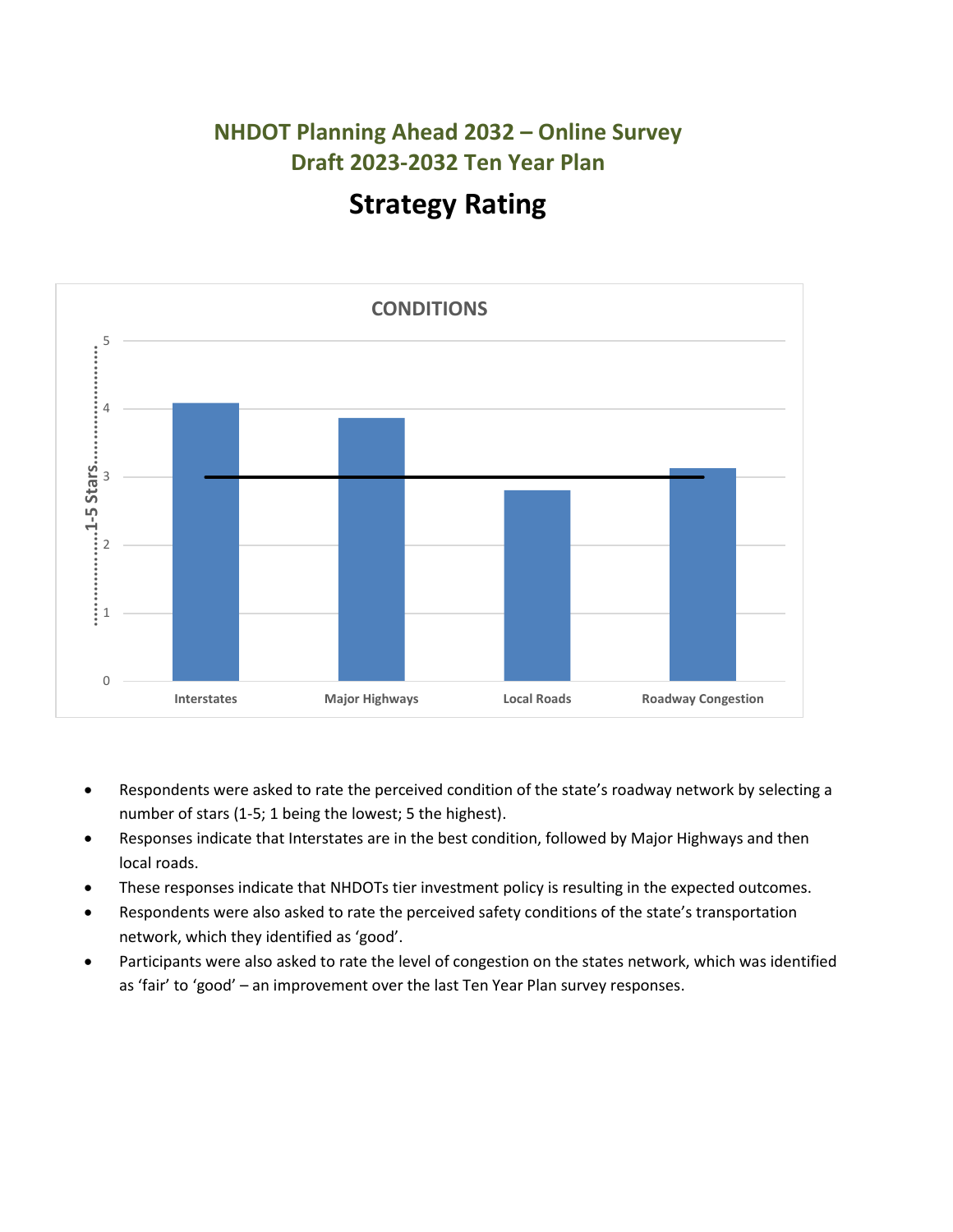

- Respondents were asked to rate the perceived condition of the state's roadway network by selecting a number of stars (1-5; 1 being the lowest; 5 the highest).
- Responses indicate that Interstates are in the best condition, followed by Major Highways and then local roads.
- These responses indicate that NHDOTs tier investment policy is resulting in the expected outcomes.
- Respondents were also asked to rate the perceived safety conditions of the state's transportation network, which they identified as 'good'.
- Participants were also asked to rate the level of congestion on the states network, which was identified as 'fair' to 'good' – an improvement over the last Ten Year Plan survey responses.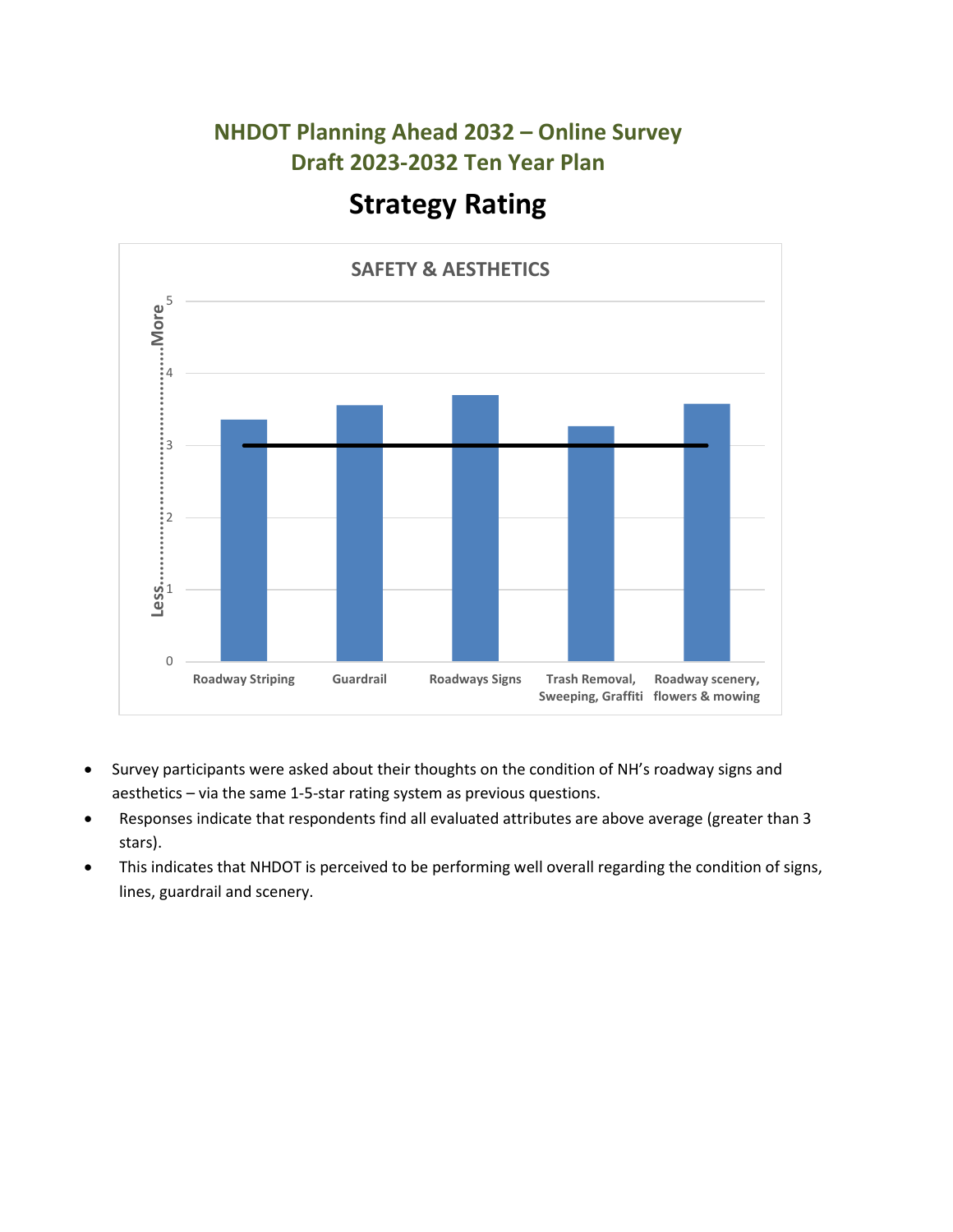

- Survey participants were asked about their thoughts on the condition of NH's roadway signs and aesthetics – via the same 1-5-star rating system as previous questions.
- Responses indicate that respondents find all evaluated attributes are above average (greater than 3 stars).
- This indicates that NHDOT is perceived to be performing well overall regarding the condition of signs, lines, guardrail and scenery.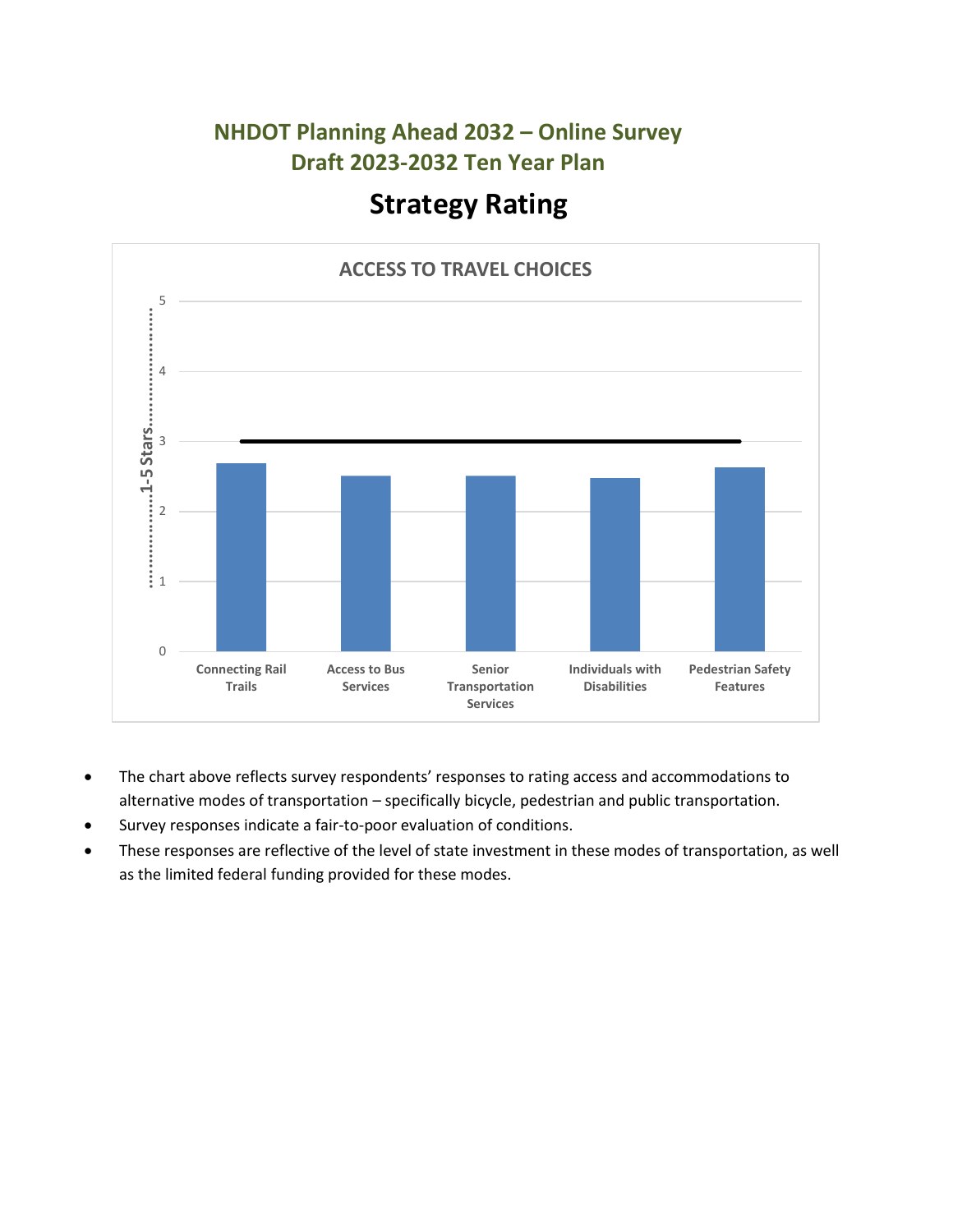

- The chart above reflects survey respondents' responses to rating access and accommodations to alternative modes of transportation – specifically bicycle, pedestrian and public transportation.
- Survey responses indicate a fair-to-poor evaluation of conditions.
- These responses are reflective of the level of state investment in these modes of transportation, as well as the limited federal funding provided for these modes.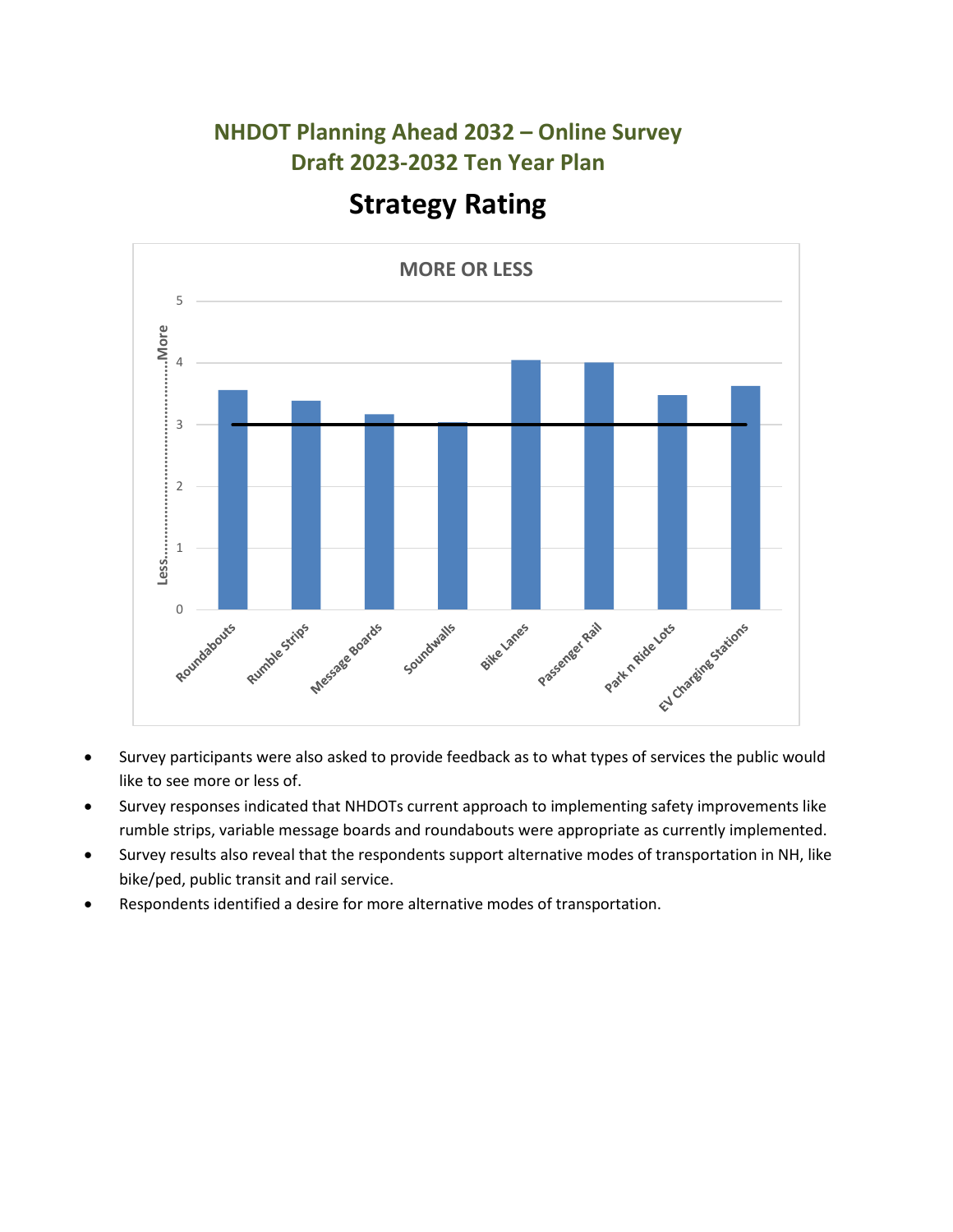

- Survey participants were also asked to provide feedback as to what types of services the public would like to see more or less of.
- Survey responses indicated that NHDOTs current approach to implementing safety improvements like rumble strips, variable message boards and roundabouts were appropriate as currently implemented.
- Survey results also reveal that the respondents support alternative modes of transportation in NH, like bike/ped, public transit and rail service.
- Respondents identified a desire for more alternative modes of transportation.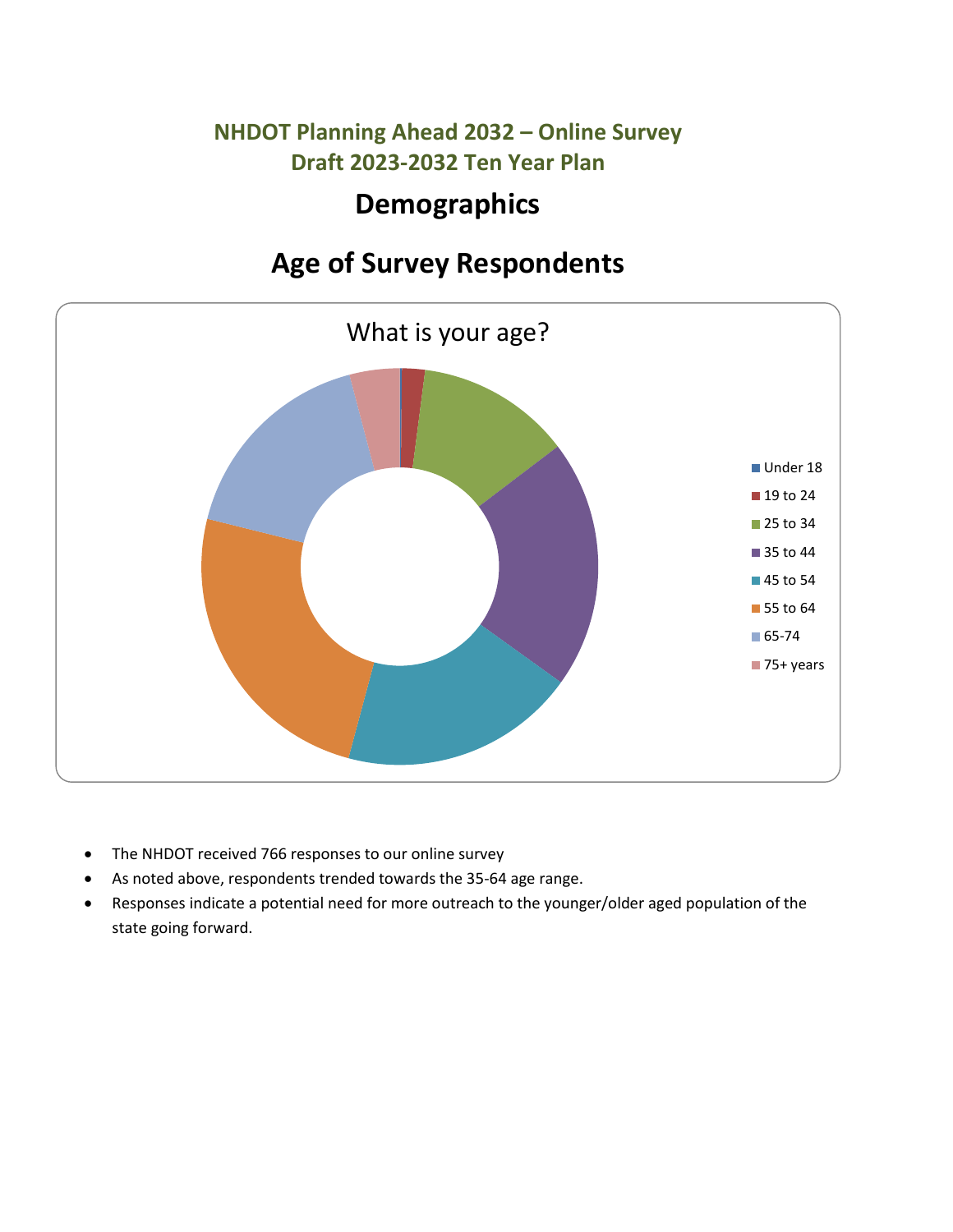# **Demographics**

# **Age of Survey Respondents**



- The NHDOT received 766 responses to our online survey
- As noted above, respondents trended towards the 35-64 age range.
- Responses indicate a potential need for more outreach to the younger/older aged population of the state going forward.